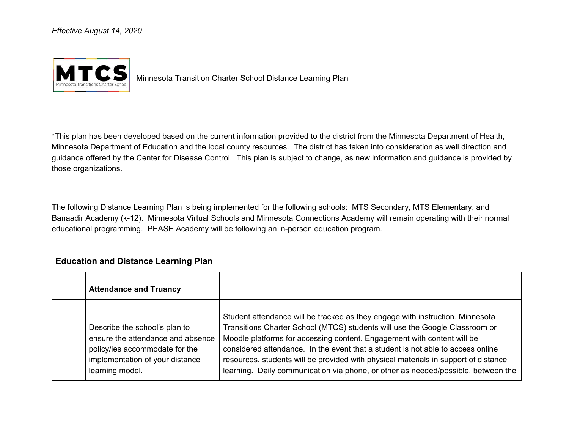*Effective August 14, 2020*



Minnesota Transition Charter School Distance Learning Plan

\*This plan has been developed based on the current information provided to the district from the Minnesota Department of Health, Minnesota Department of Education and the local county resources. The district has taken into consideration as well direction and guidance offered by the Center for Disease Control. This plan is subject to change, as new information and guidance is provided by those organizations.

The following Distance Learning Plan is being implemented for the following schools: MTS Secondary, MTS Elementary, and Banaadir Academy (k-12). Minnesota Virtual Schools and Minnesota Connections Academy will remain operating with their normal educational programming. PEASE Academy will be following an in-person education program.

## **Education and Distance Learning Plan**

| <b>Attendance and Truancy</b>                                                                                                                              |                                                                                                                                                                                                                                                                                                                                                                                                                                                                                                        |
|------------------------------------------------------------------------------------------------------------------------------------------------------------|--------------------------------------------------------------------------------------------------------------------------------------------------------------------------------------------------------------------------------------------------------------------------------------------------------------------------------------------------------------------------------------------------------------------------------------------------------------------------------------------------------|
| Describe the school's plan to<br>ensure the attendance and absence<br>policy/ies accommodate for the<br>implementation of your distance<br>learning model. | Student attendance will be tracked as they engage with instruction. Minnesota<br>Transitions Charter School (MTCS) students will use the Google Classroom or<br>Moodle platforms for accessing content. Engagement with content will be<br>considered attendance. In the event that a student is not able to access online<br>resources, students will be provided with physical materials in support of distance<br>learning. Daily communication via phone, or other as needed/possible, between the |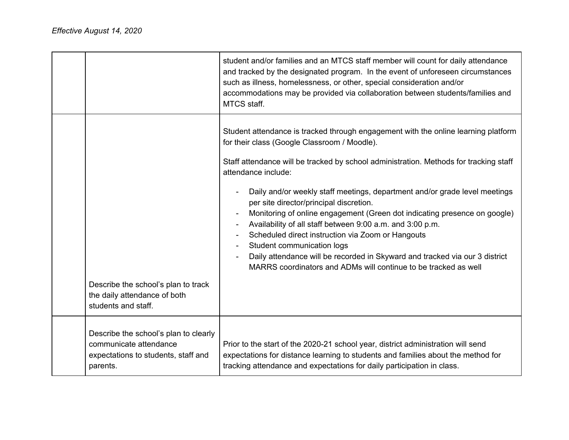|                                                                                                                    | student and/or families and an MTCS staff member will count for daily attendance<br>and tracked by the designated program. In the event of unforeseen circumstances<br>such as illness, homelessness, or other, special consideration and/or<br>accommodations may be provided via collaboration between students/families and<br>MTCS staff.                                                                                                                                                                                                                                                                                                                                                                       |
|--------------------------------------------------------------------------------------------------------------------|---------------------------------------------------------------------------------------------------------------------------------------------------------------------------------------------------------------------------------------------------------------------------------------------------------------------------------------------------------------------------------------------------------------------------------------------------------------------------------------------------------------------------------------------------------------------------------------------------------------------------------------------------------------------------------------------------------------------|
|                                                                                                                    | Student attendance is tracked through engagement with the online learning platform<br>for their class (Google Classroom / Moodle).<br>Staff attendance will be tracked by school administration. Methods for tracking staff<br>attendance include:<br>Daily and/or weekly staff meetings, department and/or grade level meetings<br>per site director/principal discretion.<br>Monitoring of online engagement (Green dot indicating presence on google)<br>$\overline{\phantom{a}}$<br>Availability of all staff between 9:00 a.m. and 3:00 p.m.<br>Scheduled direct instruction via Zoom or Hangouts<br>Student communication logs<br>Daily attendance will be recorded in Skyward and tracked via our 3 district |
| Describe the school's plan to track<br>the daily attendance of both<br>students and staff.                         | MARRS coordinators and ADMs will continue to be tracked as well                                                                                                                                                                                                                                                                                                                                                                                                                                                                                                                                                                                                                                                     |
| Describe the school's plan to clearly<br>communicate attendance<br>expectations to students, staff and<br>parents. | Prior to the start of the 2020-21 school year, district administration will send<br>expectations for distance learning to students and families about the method for<br>tracking attendance and expectations for daily participation in class.                                                                                                                                                                                                                                                                                                                                                                                                                                                                      |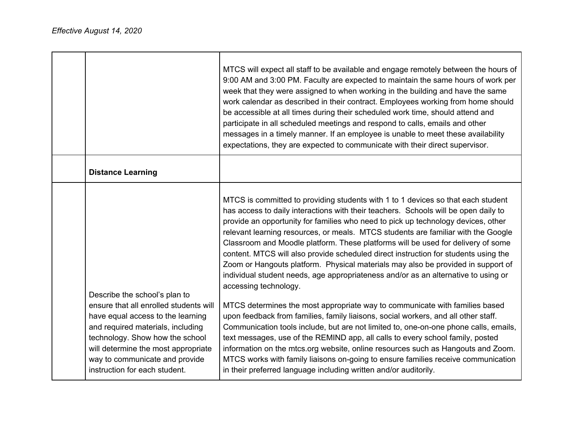|                                                                                                                                                                                                                                                                                                | MTCS will expect all staff to be available and engage remotely between the hours of<br>9:00 AM and 3:00 PM. Faculty are expected to maintain the same hours of work per<br>week that they were assigned to when working in the building and have the same<br>work calendar as described in their contract. Employees working from home should<br>be accessible at all times during their scheduled work time, should attend and<br>participate in all scheduled meetings and respond to calls, emails and other<br>messages in a timely manner. If an employee is unable to meet these availability<br>expectations, they are expected to communicate with their direct supervisor.                                                                                                                                                                                                                                                                                                                                                                                                                                                                                                                                                                                                                                         |
|------------------------------------------------------------------------------------------------------------------------------------------------------------------------------------------------------------------------------------------------------------------------------------------------|-----------------------------------------------------------------------------------------------------------------------------------------------------------------------------------------------------------------------------------------------------------------------------------------------------------------------------------------------------------------------------------------------------------------------------------------------------------------------------------------------------------------------------------------------------------------------------------------------------------------------------------------------------------------------------------------------------------------------------------------------------------------------------------------------------------------------------------------------------------------------------------------------------------------------------------------------------------------------------------------------------------------------------------------------------------------------------------------------------------------------------------------------------------------------------------------------------------------------------------------------------------------------------------------------------------------------------|
| <b>Distance Learning</b>                                                                                                                                                                                                                                                                       |                                                                                                                                                                                                                                                                                                                                                                                                                                                                                                                                                                                                                                                                                                                                                                                                                                                                                                                                                                                                                                                                                                                                                                                                                                                                                                                             |
| Describe the school's plan to<br>ensure that all enrolled students will<br>have equal access to the learning<br>and required materials, including<br>technology. Show how the school<br>will determine the most appropriate<br>way to communicate and provide<br>instruction for each student. | MTCS is committed to providing students with 1 to 1 devices so that each student<br>has access to daily interactions with their teachers. Schools will be open daily to<br>provide an opportunity for families who need to pick up technology devices, other<br>relevant learning resources, or meals. MTCS students are familiar with the Google<br>Classroom and Moodle platform. These platforms will be used for delivery of some<br>content. MTCS will also provide scheduled direct instruction for students using the<br>Zoom or Hangouts platform. Physical materials may also be provided in support of<br>individual student needs, age appropriateness and/or as an alternative to using or<br>accessing technology.<br>MTCS determines the most appropriate way to communicate with families based<br>upon feedback from families, family liaisons, social workers, and all other staff.<br>Communication tools include, but are not limited to, one-on-one phone calls, emails,<br>text messages, use of the REMIND app, all calls to every school family, posted<br>information on the mtcs.org website, online resources such as Hangouts and Zoom.<br>MTCS works with family liaisons on-going to ensure families receive communication<br>in their preferred language including written and/or auditorily. |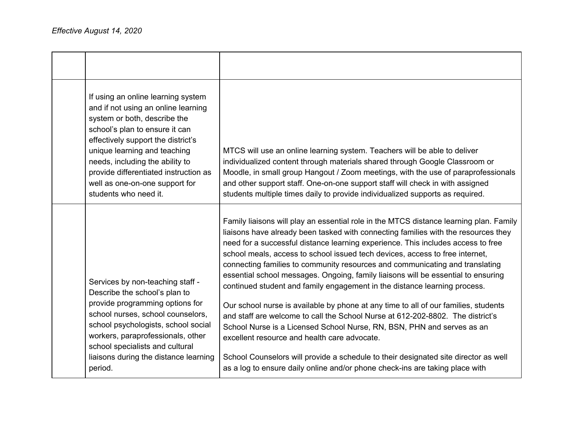| If using an online learning system<br>and if not using an online learning<br>system or both, describe the<br>school's plan to ensure it can<br>effectively support the district's<br>unique learning and teaching<br>needs, including the ability to<br>provide differentiated instruction as<br>well as one-on-one support for<br>students who need it. | MTCS will use an online learning system. Teachers will be able to deliver<br>individualized content through materials shared through Google Classroom or<br>Moodle, in small group Hangout / Zoom meetings, with the use of paraprofessionals<br>and other support staff. One-on-one support staff will check in with assigned<br>students multiple times daily to provide individualized supports as required.                                                                                                                                                                                                                                                                                                                                                                                                                                                                                                                                                                                                                                                              |
|----------------------------------------------------------------------------------------------------------------------------------------------------------------------------------------------------------------------------------------------------------------------------------------------------------------------------------------------------------|------------------------------------------------------------------------------------------------------------------------------------------------------------------------------------------------------------------------------------------------------------------------------------------------------------------------------------------------------------------------------------------------------------------------------------------------------------------------------------------------------------------------------------------------------------------------------------------------------------------------------------------------------------------------------------------------------------------------------------------------------------------------------------------------------------------------------------------------------------------------------------------------------------------------------------------------------------------------------------------------------------------------------------------------------------------------------|
| Services by non-teaching staff -<br>Describe the school's plan to<br>provide programming options for<br>school nurses, school counselors,<br>school psychologists, school social<br>workers, paraprofessionals, other<br>school specialists and cultural<br>liaisons during the distance learning<br>period.                                             | Family liaisons will play an essential role in the MTCS distance learning plan. Family<br>liaisons have already been tasked with connecting families with the resources they<br>need for a successful distance learning experience. This includes access to free<br>school meals, access to school issued tech devices, access to free internet,<br>connecting families to community resources and communicating and translating<br>essential school messages. Ongoing, family liaisons will be essential to ensuring<br>continued student and family engagement in the distance learning process.<br>Our school nurse is available by phone at any time to all of our families, students<br>and staff are welcome to call the School Nurse at 612-202-8802. The district's<br>School Nurse is a Licensed School Nurse, RN, BSN, PHN and serves as an<br>excellent resource and health care advocate.<br>School Counselors will provide a schedule to their designated site director as well<br>as a log to ensure daily online and/or phone check-ins are taking place with |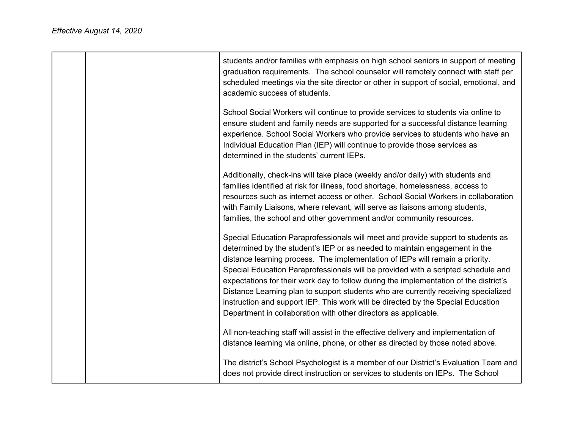|  | students and/or families with emphasis on high school seniors in support of meeting<br>graduation requirements. The school counselor will remotely connect with staff per<br>scheduled meetings via the site director or other in support of social, emotional, and<br>academic success of students.                                                                                                                                                                                                                                                                                                                                                                       |
|--|----------------------------------------------------------------------------------------------------------------------------------------------------------------------------------------------------------------------------------------------------------------------------------------------------------------------------------------------------------------------------------------------------------------------------------------------------------------------------------------------------------------------------------------------------------------------------------------------------------------------------------------------------------------------------|
|  | School Social Workers will continue to provide services to students via online to<br>ensure student and family needs are supported for a successful distance learning<br>experience. School Social Workers who provide services to students who have an<br>Individual Education Plan (IEP) will continue to provide those services as<br>determined in the students' current IEPs.                                                                                                                                                                                                                                                                                         |
|  | Additionally, check-ins will take place (weekly and/or daily) with students and<br>families identified at risk for illness, food shortage, homelessness, access to<br>resources such as internet access or other. School Social Workers in collaboration<br>with Family Liaisons, where relevant, will serve as liaisons among students,<br>families, the school and other government and/or community resources.                                                                                                                                                                                                                                                          |
|  | Special Education Paraprofessionals will meet and provide support to students as<br>determined by the student's IEP or as needed to maintain engagement in the<br>distance learning process. The implementation of IEPs will remain a priority.<br>Special Education Paraprofessionals will be provided with a scripted schedule and<br>expectations for their work day to follow during the implementation of the district's<br>Distance Learning plan to support students who are currently receiving specialized<br>instruction and support IEP. This work will be directed by the Special Education<br>Department in collaboration with other directors as applicable. |
|  | All non-teaching staff will assist in the effective delivery and implementation of<br>distance learning via online, phone, or other as directed by those noted above.                                                                                                                                                                                                                                                                                                                                                                                                                                                                                                      |
|  | The district's School Psychologist is a member of our District's Evaluation Team and<br>does not provide direct instruction or services to students on IEPs. The School                                                                                                                                                                                                                                                                                                                                                                                                                                                                                                    |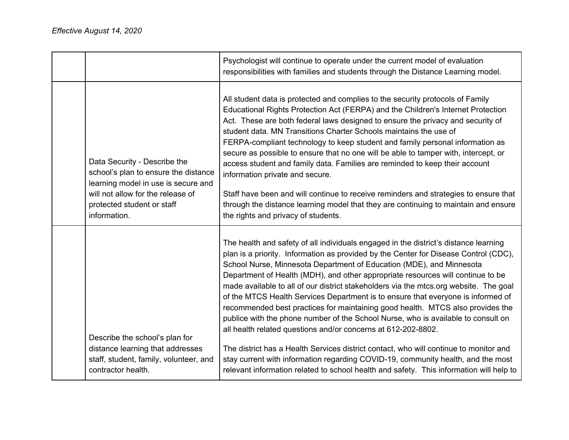|                                                                                                                                                                                                | Psychologist will continue to operate under the current model of evaluation<br>responsibilities with families and students through the Distance Learning model.                                                                                                                                                                                                                                                                                                                                                                                                                                                                                                                                                                                                                                                                                                                                                                                                                                                                      |
|------------------------------------------------------------------------------------------------------------------------------------------------------------------------------------------------|--------------------------------------------------------------------------------------------------------------------------------------------------------------------------------------------------------------------------------------------------------------------------------------------------------------------------------------------------------------------------------------------------------------------------------------------------------------------------------------------------------------------------------------------------------------------------------------------------------------------------------------------------------------------------------------------------------------------------------------------------------------------------------------------------------------------------------------------------------------------------------------------------------------------------------------------------------------------------------------------------------------------------------------|
| Data Security - Describe the<br>school's plan to ensure the distance<br>learning model in use is secure and<br>will not allow for the release of<br>protected student or staff<br>information. | All student data is protected and complies to the security protocols of Family<br>Educational Rights Protection Act (FERPA) and the Children's Internet Protection<br>Act. These are both federal laws designed to ensure the privacy and security of<br>student data. MN Transitions Charter Schools maintains the use of<br>FERPA-compliant technology to keep student and family personal information as<br>secure as possible to ensure that no one will be able to tamper with, intercept, or<br>access student and family data. Families are reminded to keep their account<br>information private and secure.<br>Staff have been and will continue to receive reminders and strategies to ensure that<br>through the distance learning model that they are continuing to maintain and ensure<br>the rights and privacy of students.                                                                                                                                                                                           |
| Describe the school's plan for<br>distance learning that addresses<br>staff, student, family, volunteer, and<br>contractor health.                                                             | The health and safety of all individuals engaged in the district's distance learning<br>plan is a priority. Information as provided by the Center for Disease Control (CDC),<br>School Nurse, Minnesota Department of Education (MDE), and Minnesota<br>Department of Health (MDH), and other appropriate resources will continue to be<br>made available to all of our district stakeholders via the mtcs.org website. The goal<br>of the MTCS Health Services Department is to ensure that everyone is informed of<br>recommended best practices for maintaining good health. MTCS also provides the<br>publice with the phone number of the School Nurse, who is available to consult on<br>all health related questions and/or concerns at 612-202-8802.<br>The district has a Health Services district contact, who will continue to monitor and<br>stay current with information regarding COVID-19, community health, and the most<br>relevant information related to school health and safety. This information will help to |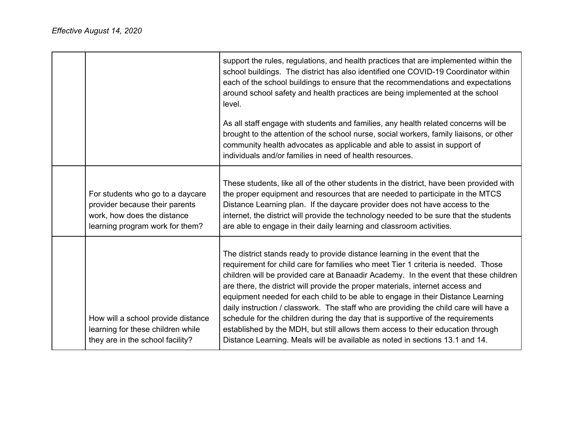|                                                                                                                                      | support the rules, regulations, and health practices that are implemented within the<br>school buildings. The district has also identified one COVID-19 Coordinator within<br>each of the school buildings to ensure that the recommendations and expectations<br>around school safety and health practices are being implemented at the school<br>level.<br>As all staff engage with students and families, any health related concerns will be                                                                                                                                                                                                                                                                                                                              |
|--------------------------------------------------------------------------------------------------------------------------------------|-------------------------------------------------------------------------------------------------------------------------------------------------------------------------------------------------------------------------------------------------------------------------------------------------------------------------------------------------------------------------------------------------------------------------------------------------------------------------------------------------------------------------------------------------------------------------------------------------------------------------------------------------------------------------------------------------------------------------------------------------------------------------------|
|                                                                                                                                      | brought to the attention of the school nurse, social workers, family liaisons, or other<br>community health advocates as applicable and able to assist in support of<br>individuals and/or families in need of health resources.                                                                                                                                                                                                                                                                                                                                                                                                                                                                                                                                              |
| For students who go to a daycare<br>provider because their parents<br>work, how does the distance<br>learning program work for them? | These students, like all of the other students in the district, have been provided with<br>the proper equipment and resources that are needed to participate in the MTCS<br>Distance Learning plan. If the daycare provider does not have access to the<br>internet, the district will provide the technology needed to be sure that the students<br>are able to engage in their daily learning and classroom activities.                                                                                                                                                                                                                                                                                                                                                     |
| How will a school provide distance<br>learning for these children while<br>they are in the school facility?                          | The district stands ready to provide distance learning in the event that the<br>requirement for child care for families who meet Tier 1 criteria is needed. Those<br>children will be provided care at Banaadir Academy. In the event that these children<br>are there, the district will provide the proper materials, internet access and<br>equipment needed for each child to be able to engage in their Distance Learning<br>daily instruction / classwork. The staff who are providing the child care will have a<br>schedule for the children during the day that is supportive of the requirements<br>established by the MDH, but still allows them access to their education through<br>Distance Learning. Meals will be available as noted in sections 13.1 and 14. |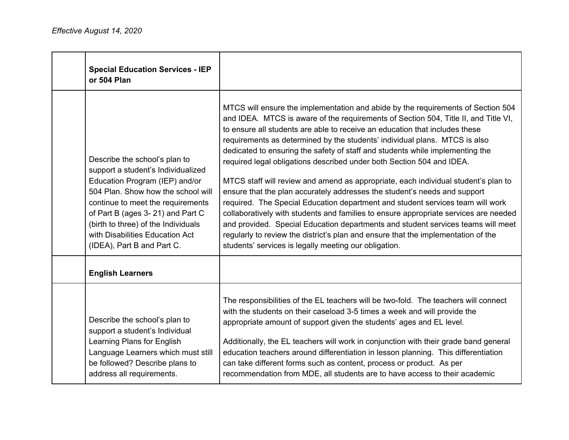| <b>Special Education Services - IEP</b><br>or 504 Plan                                                                                                                                                                                                                                                                       |                                                                                                                                                                                                                                                                                                                                                                                                                                                                                                                                                                                                                                                                                                                                                                                                                                                                                                                                                                                                                                                                               |
|------------------------------------------------------------------------------------------------------------------------------------------------------------------------------------------------------------------------------------------------------------------------------------------------------------------------------|-------------------------------------------------------------------------------------------------------------------------------------------------------------------------------------------------------------------------------------------------------------------------------------------------------------------------------------------------------------------------------------------------------------------------------------------------------------------------------------------------------------------------------------------------------------------------------------------------------------------------------------------------------------------------------------------------------------------------------------------------------------------------------------------------------------------------------------------------------------------------------------------------------------------------------------------------------------------------------------------------------------------------------------------------------------------------------|
| Describe the school's plan to<br>support a student's Individualized<br>Education Program (IEP) and/or<br>504 Plan. Show how the school will<br>continue to meet the requirements<br>of Part B (ages 3-21) and Part C<br>(birth to three) of the Individuals<br>with Disabilities Education Act<br>(IDEA), Part B and Part C. | MTCS will ensure the implementation and abide by the requirements of Section 504<br>and IDEA. MTCS is aware of the requirements of Section 504, Title II, and Title VI,<br>to ensure all students are able to receive an education that includes these<br>requirements as determined by the students' individual plans. MTCS is also<br>dedicated to ensuring the safety of staff and students while implementing the<br>required legal obligations described under both Section 504 and IDEA.<br>MTCS staff will review and amend as appropriate, each individual student's plan to<br>ensure that the plan accurately addresses the student's needs and support<br>required. The Special Education department and student services team will work<br>collaboratively with students and families to ensure appropriate services are needed<br>and provided. Special Education departments and student services teams will meet<br>regularly to review the district's plan and ensure that the implementation of the<br>students' services is legally meeting our obligation. |
| <b>English Learners</b>                                                                                                                                                                                                                                                                                                      |                                                                                                                                                                                                                                                                                                                                                                                                                                                                                                                                                                                                                                                                                                                                                                                                                                                                                                                                                                                                                                                                               |
| Describe the school's plan to<br>support a student's Individual<br>Learning Plans for English<br>Language Learners which must still<br>be followed? Describe plans to<br>address all requirements.                                                                                                                           | The responsibilities of the EL teachers will be two-fold. The teachers will connect<br>with the students on their caseload 3-5 times a week and will provide the<br>appropriate amount of support given the students' ages and EL level.<br>Additionally, the EL teachers will work in conjunction with their grade band general<br>education teachers around differentiation in lesson planning. This differentiation<br>can take different forms such as content, process or product. As per<br>recommendation from MDE, all students are to have access to their academic                                                                                                                                                                                                                                                                                                                                                                                                                                                                                                  |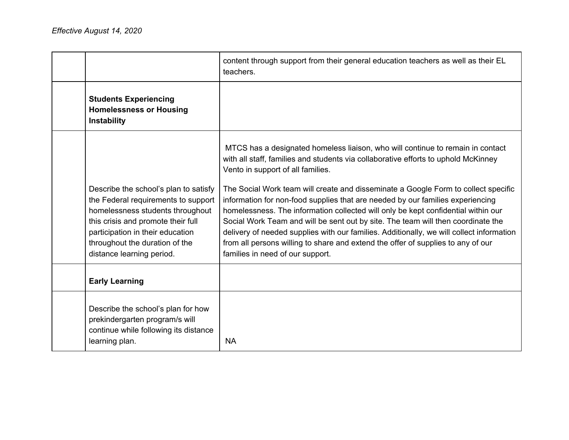|                                                                                                                                                                                                                  | content through support from their general education teachers as well as their EL<br>teachers.                                                                                                                                                                                                                                                                                                                                                                              |
|------------------------------------------------------------------------------------------------------------------------------------------------------------------------------------------------------------------|-----------------------------------------------------------------------------------------------------------------------------------------------------------------------------------------------------------------------------------------------------------------------------------------------------------------------------------------------------------------------------------------------------------------------------------------------------------------------------|
| <b>Students Experiencing</b><br><b>Homelessness or Housing</b><br>Instability                                                                                                                                    |                                                                                                                                                                                                                                                                                                                                                                                                                                                                             |
| Describe the school's plan to satisfy                                                                                                                                                                            | MTCS has a designated homeless liaison, who will continue to remain in contact<br>with all staff, families and students via collaborative efforts to uphold McKinney<br>Vento in support of all families.<br>The Social Work team will create and disseminate a Google Form to collect specific                                                                                                                                                                             |
| the Federal requirements to support<br>homelessness students throughout<br>this crisis and promote their full<br>participation in their education<br>throughout the duration of the<br>distance learning period. | information for non-food supplies that are needed by our families experiencing<br>homelessness. The information collected will only be kept confidential within our<br>Social Work Team and will be sent out by site. The team will then coordinate the<br>delivery of needed supplies with our families. Additionally, we will collect information<br>from all persons willing to share and extend the offer of supplies to any of our<br>families in need of our support. |
| <b>Early Learning</b>                                                                                                                                                                                            |                                                                                                                                                                                                                                                                                                                                                                                                                                                                             |
| Describe the school's plan for how<br>prekindergarten program/s will<br>continue while following its distance<br>learning plan.                                                                                  | <b>NA</b>                                                                                                                                                                                                                                                                                                                                                                                                                                                                   |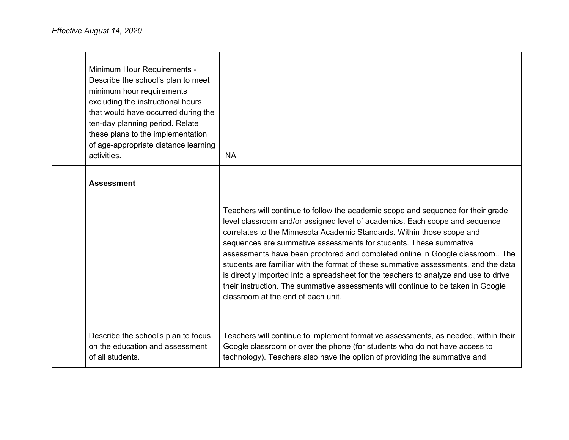| Minimum Hour Requirements -<br>Describe the school's plan to meet<br>minimum hour requirements<br>excluding the instructional hours<br>that would have occurred during the<br>ten-day planning period. Relate<br>these plans to the implementation<br>of age-appropriate distance learning<br>activities. | <b>NA</b>                                                                                                                                                                                                                                                                                                                                                                                                                                                                                                                                                                                                                                                                                              |
|-----------------------------------------------------------------------------------------------------------------------------------------------------------------------------------------------------------------------------------------------------------------------------------------------------------|--------------------------------------------------------------------------------------------------------------------------------------------------------------------------------------------------------------------------------------------------------------------------------------------------------------------------------------------------------------------------------------------------------------------------------------------------------------------------------------------------------------------------------------------------------------------------------------------------------------------------------------------------------------------------------------------------------|
| <b>Assessment</b>                                                                                                                                                                                                                                                                                         |                                                                                                                                                                                                                                                                                                                                                                                                                                                                                                                                                                                                                                                                                                        |
|                                                                                                                                                                                                                                                                                                           | Teachers will continue to follow the academic scope and sequence for their grade<br>level classroom and/or assigned level of academics. Each scope and sequence<br>correlates to the Minnesota Academic Standards. Within those scope and<br>sequences are summative assessments for students. These summative<br>assessments have been proctored and completed online in Google classroom The<br>students are familiar with the format of these summative assessments, and the data<br>is directly imported into a spreadsheet for the teachers to analyze and use to drive<br>their instruction. The summative assessments will continue to be taken in Google<br>classroom at the end of each unit. |
| Describe the school's plan to focus<br>on the education and assessment<br>of all students.                                                                                                                                                                                                                | Teachers will continue to implement formative assessments, as needed, within their<br>Google classroom or over the phone (for students who do not have access to<br>technology). Teachers also have the option of providing the summative and                                                                                                                                                                                                                                                                                                                                                                                                                                                          |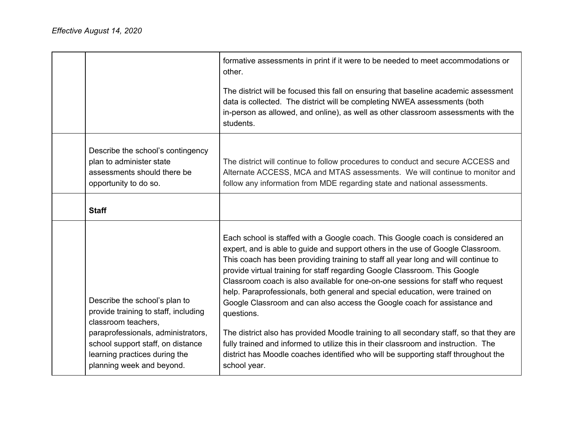|                                                                                                                                    | formative assessments in print if it were to be needed to meet accommodations or<br>other.                                                                                                                                                                                                                                                                                                                                                                                                                                                                                                                                                                                                    |
|------------------------------------------------------------------------------------------------------------------------------------|-----------------------------------------------------------------------------------------------------------------------------------------------------------------------------------------------------------------------------------------------------------------------------------------------------------------------------------------------------------------------------------------------------------------------------------------------------------------------------------------------------------------------------------------------------------------------------------------------------------------------------------------------------------------------------------------------|
|                                                                                                                                    | The district will be focused this fall on ensuring that baseline academic assessment<br>data is collected. The district will be completing NWEA assessments (both<br>in-person as allowed, and online), as well as other classroom assessments with the<br>students.                                                                                                                                                                                                                                                                                                                                                                                                                          |
| Describe the school's contingency<br>plan to administer state<br>assessments should there be<br>opportunity to do so.              | The district will continue to follow procedures to conduct and secure ACCESS and<br>Alternate ACCESS, MCA and MTAS assessments. We will continue to monitor and<br>follow any information from MDE regarding state and national assessments.                                                                                                                                                                                                                                                                                                                                                                                                                                                  |
| <b>Staff</b>                                                                                                                       |                                                                                                                                                                                                                                                                                                                                                                                                                                                                                                                                                                                                                                                                                               |
| Describe the school's plan to<br>provide training to staff, including<br>classroom teachers,<br>paraprofessionals, administrators, | Each school is staffed with a Google coach. This Google coach is considered an<br>expert, and is able to guide and support others in the use of Google Classroom.<br>This coach has been providing training to staff all year long and will continue to<br>provide virtual training for staff regarding Google Classroom. This Google<br>Classroom coach is also available for one-on-one sessions for staff who request<br>help. Paraprofessionals, both general and special education, were trained on<br>Google Classroom and can also access the Google coach for assistance and<br>questions.<br>The district also has provided Moodle training to all secondary staff, so that they are |
| school support staff, on distance<br>learning practices during the<br>planning week and beyond.                                    | fully trained and informed to utilize this in their classroom and instruction. The<br>district has Moodle coaches identified who will be supporting staff throughout the<br>school year.                                                                                                                                                                                                                                                                                                                                                                                                                                                                                                      |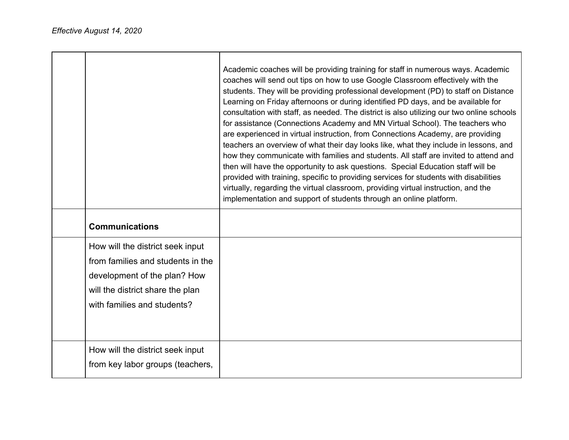|                                                                                                                                                                          | Academic coaches will be providing training for staff in numerous ways. Academic<br>coaches will send out tips on how to use Google Classroom effectively with the<br>students. They will be providing professional development (PD) to staff on Distance<br>Learning on Friday afternoons or during identified PD days, and be available for<br>consultation with staff, as needed. The district is also utilizing our two online schools<br>for assistance (Connections Academy and MN Virtual School). The teachers who<br>are experienced in virtual instruction, from Connections Academy, are providing<br>teachers an overview of what their day looks like, what they include in lessons, and<br>how they communicate with families and students. All staff are invited to attend and<br>then will have the opportunity to ask questions. Special Education staff will be<br>provided with training, specific to providing services for students with disabilities<br>virtually, regarding the virtual classroom, providing virtual instruction, and the<br>implementation and support of students through an online platform. |
|--------------------------------------------------------------------------------------------------------------------------------------------------------------------------|----------------------------------------------------------------------------------------------------------------------------------------------------------------------------------------------------------------------------------------------------------------------------------------------------------------------------------------------------------------------------------------------------------------------------------------------------------------------------------------------------------------------------------------------------------------------------------------------------------------------------------------------------------------------------------------------------------------------------------------------------------------------------------------------------------------------------------------------------------------------------------------------------------------------------------------------------------------------------------------------------------------------------------------------------------------------------------------------------------------------------------------|
| <b>Communications</b>                                                                                                                                                    |                                                                                                                                                                                                                                                                                                                                                                                                                                                                                                                                                                                                                                                                                                                                                                                                                                                                                                                                                                                                                                                                                                                                        |
| How will the district seek input<br>from families and students in the<br>development of the plan? How<br>will the district share the plan<br>with families and students? |                                                                                                                                                                                                                                                                                                                                                                                                                                                                                                                                                                                                                                                                                                                                                                                                                                                                                                                                                                                                                                                                                                                                        |
| How will the district seek input<br>from key labor groups (teachers,                                                                                                     |                                                                                                                                                                                                                                                                                                                                                                                                                                                                                                                                                                                                                                                                                                                                                                                                                                                                                                                                                                                                                                                                                                                                        |

┑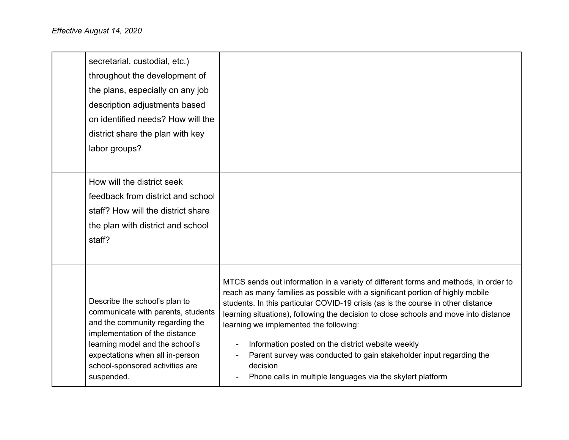| Describe the school's plan to<br>communicate with parents, students<br>and the community regarding the<br>implementation of the distance<br>learning model and the school's<br>expectations when all in-person<br>school-sponsored activities are<br>suspended. | MTCS sends out information in a variety of different forms and methods, in order to<br>reach as many families as possible with a significant portion of highly mobile<br>students. In this particular COVID-19 crisis (as is the course in other distance<br>learning situations), following the decision to close schools and move into distance<br>learning we implemented the following:<br>Information posted on the district website weekly<br>Parent survey was conducted to gain stakeholder input regarding the<br>decision<br>Phone calls in multiple languages via the skylert platform |
|-----------------------------------------------------------------------------------------------------------------------------------------------------------------------------------------------------------------------------------------------------------------|---------------------------------------------------------------------------------------------------------------------------------------------------------------------------------------------------------------------------------------------------------------------------------------------------------------------------------------------------------------------------------------------------------------------------------------------------------------------------------------------------------------------------------------------------------------------------------------------------|
| How will the district seek<br>feedback from district and school<br>staff? How will the district share<br>the plan with district and school<br>staff?                                                                                                            |                                                                                                                                                                                                                                                                                                                                                                                                                                                                                                                                                                                                   |
| secretarial, custodial, etc.)<br>throughout the development of<br>the plans, especially on any job<br>description adjustments based<br>on identified needs? How will the<br>district share the plan with key<br>labor groups?                                   |                                                                                                                                                                                                                                                                                                                                                                                                                                                                                                                                                                                                   |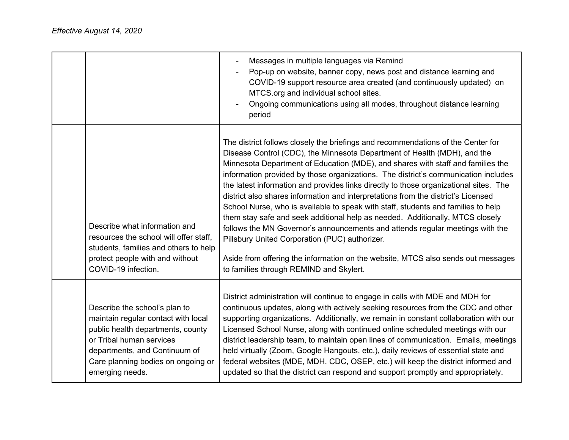|                                                                                                                                                                                                                                 | Messages in multiple languages via Remind<br>Pop-up on website, banner copy, news post and distance learning and<br>COVID-19 support resource area created (and continuously updated) on<br>MTCS.org and individual school sites.<br>Ongoing communications using all modes, throughout distance learning<br>period                                                                                                                                                                                                                                                                                                                                                                                                                                                                                                                                                                                                                                         |
|---------------------------------------------------------------------------------------------------------------------------------------------------------------------------------------------------------------------------------|-------------------------------------------------------------------------------------------------------------------------------------------------------------------------------------------------------------------------------------------------------------------------------------------------------------------------------------------------------------------------------------------------------------------------------------------------------------------------------------------------------------------------------------------------------------------------------------------------------------------------------------------------------------------------------------------------------------------------------------------------------------------------------------------------------------------------------------------------------------------------------------------------------------------------------------------------------------|
| Describe what information and<br>resources the school will offer staff,<br>students, families and others to help<br>protect people with and without<br>COVID-19 infection.                                                      | The district follows closely the briefings and recommendations of the Center for<br>Disease Control (CDC), the Minnesota Department of Health (MDH), and the<br>Minnesota Department of Education (MDE), and shares with staff and families the<br>information provided by those organizations. The district's communication includes<br>the latest information and provides links directly to those organizational sites. The<br>district also shares information and interpretations from the district's Licensed<br>School Nurse, who is available to speak with staff, students and families to help<br>them stay safe and seek additional help as needed. Additionally, MTCS closely<br>follows the MN Governor's announcements and attends regular meetings with the<br>Pillsbury United Corporation (PUC) authorizer.<br>Aside from offering the information on the website, MTCS also sends out messages<br>to families through REMIND and Skylert. |
| Describe the school's plan to<br>maintain regular contact with local<br>public health departments, county<br>or Tribal human services<br>departments, and Continuum of<br>Care planning bodies on ongoing or<br>emerging needs. | District administration will continue to engage in calls with MDE and MDH for<br>continuous updates, along with actively seeking resources from the CDC and other<br>supporting organizations. Additionally, we remain in constant collaboration with our<br>Licensed School Nurse, along with continued online scheduled meetings with our<br>district leadership team, to maintain open lines of communication. Emails, meetings<br>held virtually (Zoom, Google Hangouts, etc.), daily reviews of essential state and<br>federal websites (MDE, MDH, CDC, OSEP, etc.) will keep the district informed and<br>updated so that the district can respond and support promptly and appropriately.                                                                                                                                                                                                                                                            |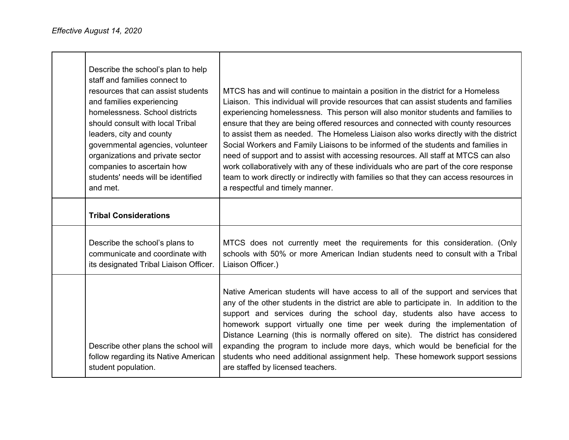| Describe the school's plan to help<br>staff and families connect to<br>resources that can assist students<br>and families experiencing<br>homelessness. School districts<br>should consult with local Tribal<br>leaders, city and county<br>governmental agencies, volunteer<br>organizations and private sector<br>companies to ascertain how<br>students' needs will be identified<br>and met. | MTCS has and will continue to maintain a position in the district for a Homeless<br>Liaison. This individual will provide resources that can assist students and families<br>experiencing homelessness. This person will also monitor students and families to<br>ensure that they are being offered resources and connected with county resources<br>to assist them as needed. The Homeless Liaison also works directly with the district<br>Social Workers and Family Liaisons to be informed of the students and families in<br>need of support and to assist with accessing resources. All staff at MTCS can also<br>work collaboratively with any of these individuals who are part of the core response<br>team to work directly or indirectly with families so that they can access resources in<br>a respectful and timely manner. |
|--------------------------------------------------------------------------------------------------------------------------------------------------------------------------------------------------------------------------------------------------------------------------------------------------------------------------------------------------------------------------------------------------|--------------------------------------------------------------------------------------------------------------------------------------------------------------------------------------------------------------------------------------------------------------------------------------------------------------------------------------------------------------------------------------------------------------------------------------------------------------------------------------------------------------------------------------------------------------------------------------------------------------------------------------------------------------------------------------------------------------------------------------------------------------------------------------------------------------------------------------------|
| <b>Tribal Considerations</b>                                                                                                                                                                                                                                                                                                                                                                     |                                                                                                                                                                                                                                                                                                                                                                                                                                                                                                                                                                                                                                                                                                                                                                                                                                            |
| Describe the school's plans to<br>communicate and coordinate with<br>its designated Tribal Liaison Officer.                                                                                                                                                                                                                                                                                      | MTCS does not currently meet the requirements for this consideration. (Only<br>schools with 50% or more American Indian students need to consult with a Tribal<br>Liaison Officer.)                                                                                                                                                                                                                                                                                                                                                                                                                                                                                                                                                                                                                                                        |
| Describe other plans the school will<br>follow regarding its Native American<br>student population.                                                                                                                                                                                                                                                                                              | Native American students will have access to all of the support and services that<br>any of the other students in the district are able to participate in. In addition to the<br>support and services during the school day, students also have access to<br>homework support virtually one time per week during the implementation of<br>Distance Learning (this is normally offered on site). The district has considered<br>expanding the program to include more days, which would be beneficial for the<br>students who need additional assignment help. These homework support sessions<br>are staffed by licensed teachers.                                                                                                                                                                                                         |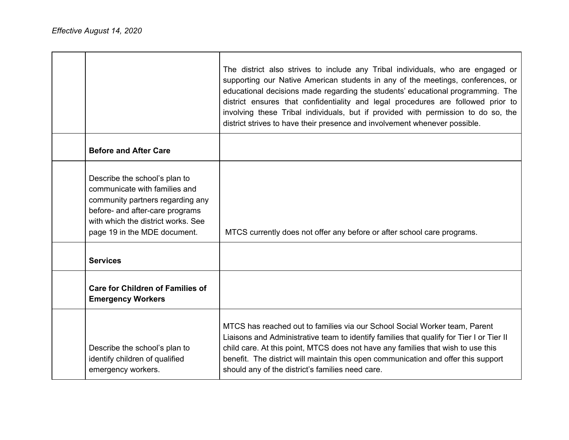|                                                                                                                                                                                                             | The district also strives to include any Tribal individuals, who are engaged or<br>supporting our Native American students in any of the meetings, conferences, or<br>educational decisions made regarding the students' educational programming. The<br>district ensures that confidentiality and legal procedures are followed prior to<br>involving these Tribal individuals, but if provided with permission to do so, the<br>district strives to have their presence and involvement whenever possible. |
|-------------------------------------------------------------------------------------------------------------------------------------------------------------------------------------------------------------|--------------------------------------------------------------------------------------------------------------------------------------------------------------------------------------------------------------------------------------------------------------------------------------------------------------------------------------------------------------------------------------------------------------------------------------------------------------------------------------------------------------|
| <b>Before and After Care</b>                                                                                                                                                                                |                                                                                                                                                                                                                                                                                                                                                                                                                                                                                                              |
| Describe the school's plan to<br>communicate with families and<br>community partners regarding any<br>before- and after-care programs<br>with which the district works. See<br>page 19 in the MDE document. | MTCS currently does not offer any before or after school care programs.                                                                                                                                                                                                                                                                                                                                                                                                                                      |
| <b>Services</b>                                                                                                                                                                                             |                                                                                                                                                                                                                                                                                                                                                                                                                                                                                                              |
| <b>Care for Children of Families of</b><br><b>Emergency Workers</b>                                                                                                                                         |                                                                                                                                                                                                                                                                                                                                                                                                                                                                                                              |
| Describe the school's plan to<br>identify children of qualified<br>emergency workers.                                                                                                                       | MTCS has reached out to families via our School Social Worker team, Parent<br>Liaisons and Administrative team to identify families that qualify for Tier I or Tier II<br>child care. At this point, MTCS does not have any families that wish to use this<br>benefit. The district will maintain this open communication and offer this support<br>should any of the district's families need care.                                                                                                         |

┑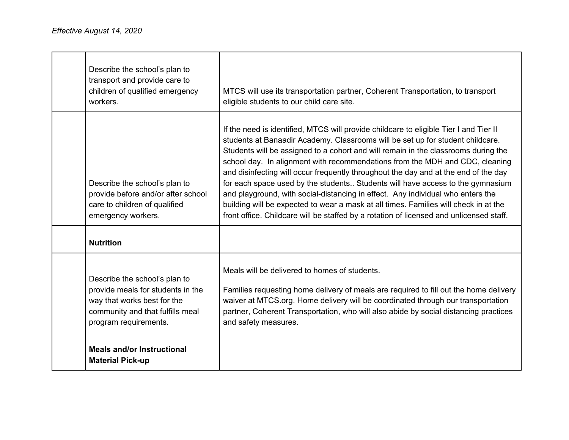| Describe the school's plan to<br>transport and provide care to<br>children of qualified emergency<br>workers.                                                  | MTCS will use its transportation partner, Coherent Transportation, to transport<br>eligible students to our child care site.                                                                                                                                                                                                                                                                                                                                                                                                                                                                                                                                                                                                                                                                 |
|----------------------------------------------------------------------------------------------------------------------------------------------------------------|----------------------------------------------------------------------------------------------------------------------------------------------------------------------------------------------------------------------------------------------------------------------------------------------------------------------------------------------------------------------------------------------------------------------------------------------------------------------------------------------------------------------------------------------------------------------------------------------------------------------------------------------------------------------------------------------------------------------------------------------------------------------------------------------|
| Describe the school's plan to<br>provide before and/or after school<br>care to children of qualified<br>emergency workers.                                     | If the need is identified, MTCS will provide childcare to eligible Tier I and Tier II<br>students at Banaadir Academy. Classrooms will be set up for student childcare.<br>Students will be assigned to a cohort and will remain in the classrooms during the<br>school day. In alignment with recommendations from the MDH and CDC, cleaning<br>and disinfecting will occur frequently throughout the day and at the end of the day<br>for each space used by the students Students will have access to the gymnasium<br>and playground, with social-distancing in effect. Any individual who enters the<br>building will be expected to wear a mask at all times. Families will check in at the<br>front office. Childcare will be staffed by a rotation of licensed and unlicensed staff. |
| <b>Nutrition</b>                                                                                                                                               |                                                                                                                                                                                                                                                                                                                                                                                                                                                                                                                                                                                                                                                                                                                                                                                              |
| Describe the school's plan to<br>provide meals for students in the<br>way that works best for the<br>community and that fulfills meal<br>program requirements. | Meals will be delivered to homes of students.<br>Families requesting home delivery of meals are required to fill out the home delivery<br>waiver at MTCS.org. Home delivery will be coordinated through our transportation<br>partner, Coherent Transportation, who will also abide by social distancing practices<br>and safety measures.                                                                                                                                                                                                                                                                                                                                                                                                                                                   |
| <b>Meals and/or Instructional</b><br><b>Material Pick-up</b>                                                                                                   |                                                                                                                                                                                                                                                                                                                                                                                                                                                                                                                                                                                                                                                                                                                                                                                              |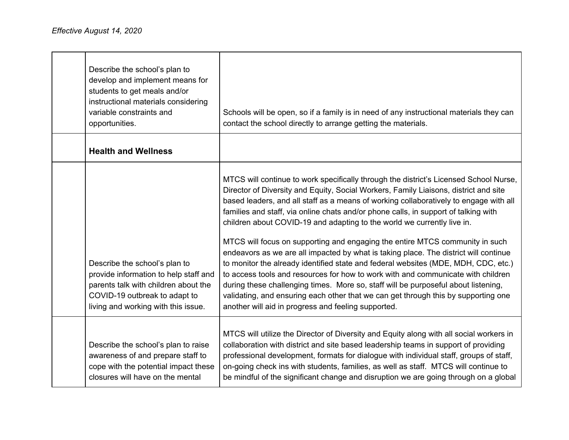| Describe the school's plan to<br>develop and implement means for<br>students to get meals and/or<br>instructional materials considering<br>variable constraints and<br>opportunities.  | Schools will be open, so if a family is in need of any instructional materials they can<br>contact the school directly to arrange getting the materials.                                                                                                                                                                                                                                                                                                                                                                                                                                                                                                                                                                                                                                                                                                                                                                                                                                                                      |
|----------------------------------------------------------------------------------------------------------------------------------------------------------------------------------------|-------------------------------------------------------------------------------------------------------------------------------------------------------------------------------------------------------------------------------------------------------------------------------------------------------------------------------------------------------------------------------------------------------------------------------------------------------------------------------------------------------------------------------------------------------------------------------------------------------------------------------------------------------------------------------------------------------------------------------------------------------------------------------------------------------------------------------------------------------------------------------------------------------------------------------------------------------------------------------------------------------------------------------|
| <b>Health and Wellness</b>                                                                                                                                                             |                                                                                                                                                                                                                                                                                                                                                                                                                                                                                                                                                                                                                                                                                                                                                                                                                                                                                                                                                                                                                               |
| Describe the school's plan to<br>provide information to help staff and<br>parents talk with children about the<br>COVID-19 outbreak to adapt to<br>living and working with this issue. | MTCS will continue to work specifically through the district's Licensed School Nurse,<br>Director of Diversity and Equity, Social Workers, Family Liaisons, district and site<br>based leaders, and all staff as a means of working collaboratively to engage with all<br>families and staff, via online chats and/or phone calls, in support of talking with<br>children about COVID-19 and adapting to the world we currently live in.<br>MTCS will focus on supporting and engaging the entire MTCS community in such<br>endeavors as we are all impacted by what is taking place. The district will continue<br>to monitor the already identified state and federal websites (MDE, MDH, CDC, etc.)<br>to access tools and resources for how to work with and communicate with children<br>during these challenging times. More so, staff will be purposeful about listening,<br>validating, and ensuring each other that we can get through this by supporting one<br>another will aid in progress and feeling supported. |
| Describe the school's plan to raise<br>awareness of and prepare staff to<br>cope with the potential impact these<br>closures will have on the mental                                   | MTCS will utilize the Director of Diversity and Equity along with all social workers in<br>collaboration with district and site based leadership teams in support of providing<br>professional development, formats for dialogue with individual staff, groups of staff,<br>on-going check ins with students, families, as well as staff. MTCS will continue to<br>be mindful of the significant change and disruption we are going through on a global                                                                                                                                                                                                                                                                                                                                                                                                                                                                                                                                                                       |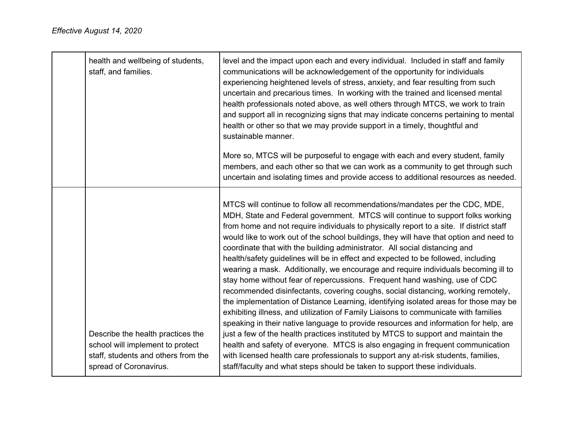| health and wellbeing of students,<br>staff, and families.                                                                              | level and the impact upon each and every individual. Included in staff and family<br>communications will be acknowledgement of the opportunity for individuals<br>experiencing heightened levels of stress, anxiety, and fear resulting from such<br>uncertain and precarious times. In working with the trained and licensed mental<br>health professionals noted above, as well others through MTCS, we work to train<br>and support all in recognizing signs that may indicate concerns pertaining to mental<br>health or other so that we may provide support in a timely, thoughtful and<br>sustainable manner.<br>More so, MTCS will be purposeful to engage with each and every student, family<br>members, and each other so that we can work as a community to get through such<br>uncertain and isolating times and provide access to additional resources as needed.                                                                                                                                                                                                                                                                                                                                                                                                                                                                                                                 |
|----------------------------------------------------------------------------------------------------------------------------------------|-------------------------------------------------------------------------------------------------------------------------------------------------------------------------------------------------------------------------------------------------------------------------------------------------------------------------------------------------------------------------------------------------------------------------------------------------------------------------------------------------------------------------------------------------------------------------------------------------------------------------------------------------------------------------------------------------------------------------------------------------------------------------------------------------------------------------------------------------------------------------------------------------------------------------------------------------------------------------------------------------------------------------------------------------------------------------------------------------------------------------------------------------------------------------------------------------------------------------------------------------------------------------------------------------------------------------------------------------------------------------------------------------|
| Describe the health practices the<br>school will implement to protect<br>staff, students and others from the<br>spread of Coronavirus. | MTCS will continue to follow all recommendations/mandates per the CDC, MDE,<br>MDH, State and Federal government. MTCS will continue to support folks working<br>from home and not require individuals to physically report to a site. If district staff<br>would like to work out of the school buildings, they will have that option and need to<br>coordinate that with the building administrator. All social distancing and<br>health/safety guidelines will be in effect and expected to be followed, including<br>wearing a mask. Additionally, we encourage and require individuals becoming ill to<br>stay home without fear of repercussions. Frequent hand washing, use of CDC<br>recommended disinfectants, covering coughs, social distancing, working remotely,<br>the implementation of Distance Learning, identifying isolated areas for those may be<br>exhibiting illness, and utilization of Family Liaisons to communicate with families<br>speaking in their native language to provide resources and information for help, are<br>just a few of the health practices instituted by MTCS to support and maintain the<br>health and safety of everyone. MTCS is also engaging in frequent communication<br>with licensed health care professionals to support any at-risk students, families,<br>staff/faculty and what steps should be taken to support these individuals. |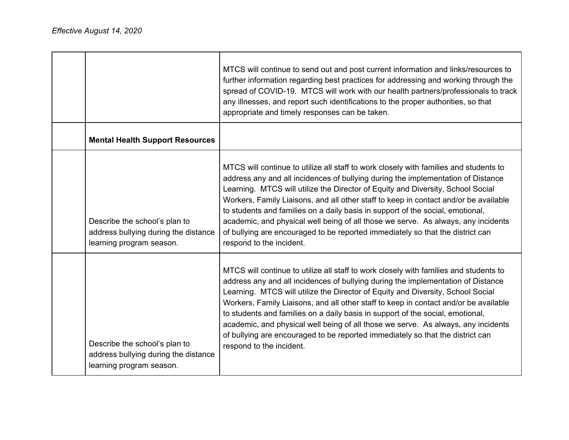|                                                                                                   | MTCS will continue to send out and post current information and links/resources to<br>further information regarding best practices for addressing and working through the<br>spread of COVID-19. MTCS will work with our health partners/professionals to track<br>any illnesses, and report such identifications to the proper authorities, so that<br>appropriate and timely responses can be taken.                                                                                                                                                                                                                                    |
|---------------------------------------------------------------------------------------------------|-------------------------------------------------------------------------------------------------------------------------------------------------------------------------------------------------------------------------------------------------------------------------------------------------------------------------------------------------------------------------------------------------------------------------------------------------------------------------------------------------------------------------------------------------------------------------------------------------------------------------------------------|
| <b>Mental Health Support Resources</b>                                                            |                                                                                                                                                                                                                                                                                                                                                                                                                                                                                                                                                                                                                                           |
| Describe the school's plan to<br>address bullying during the distance<br>learning program season. | MTCS will continue to utilize all staff to work closely with families and students to<br>address any and all incidences of bullying during the implementation of Distance<br>Learning. MTCS will utilize the Director of Equity and Diversity, School Social<br>Workers, Family Liaisons, and all other staff to keep in contact and/or be available<br>to students and families on a daily basis in support of the social, emotional,<br>academic, and physical well being of all those we serve. As always, any incidents<br>of bullying are encouraged to be reported immediately so that the district can<br>respond to the incident. |
| Describe the school's plan to<br>address bullying during the distance<br>learning program season. | MTCS will continue to utilize all staff to work closely with families and students to<br>address any and all incidences of bullying during the implementation of Distance<br>Learning. MTCS will utilize the Director of Equity and Diversity, School Social<br>Workers, Family Liaisons, and all other staff to keep in contact and/or be available<br>to students and families on a daily basis in support of the social, emotional,<br>academic, and physical well being of all those we serve. As always, any incidents<br>of bullying are encouraged to be reported immediately so that the district can<br>respond to the incident. |